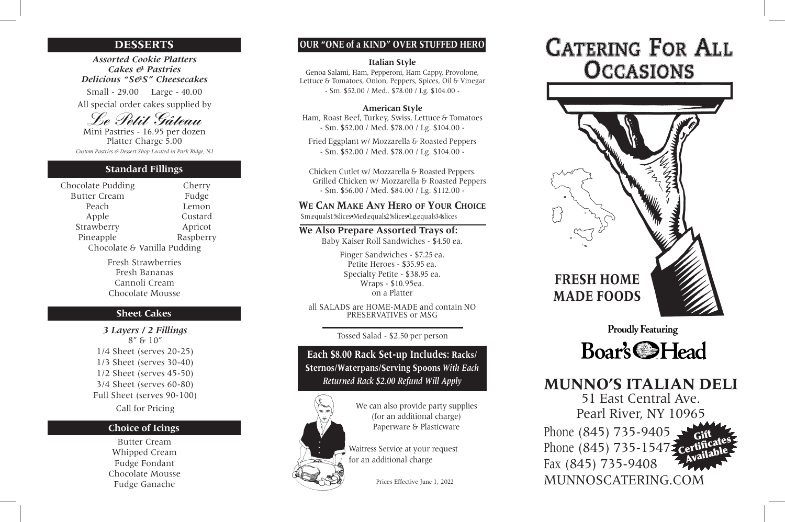*Assorted Cookie Platters Cakes & Pastries Delicious "S&S" Cheesecakes*

Small - 2 9.00 Large - 40.00 All special order cakes supplied by

## *Le Petit Gâteau*

Mini Pastries - 1 6.95 per dozen Platter Charge 5.00 *Custom Pastries & Dessert Shop Located in Park Ridge, NJ*

### **DESSERTS**

Chocolate Pudding Cherry Butter Cream Fudge Peach Lemon Apple Custard Strawberry **Apricot** Pineapple Raspberry Chocolate & Vanilla Pudding

> Fresh Strawberries Fresh Bananas Cannoli Cream Chocolate Mousse

#### **Standard Fillings**

*3 Layers / 2 Fillings* 8" & 10" 1/4 Sheet (serves 20-25) 1/3 Sheet (serves 30-40) 1/2 Sheet (serves 45-50) 3/4 Sheet (serves 60-80) Full Sheet (serves 90-100) Call for Pricing

#### **Sheet Cakes**

Butter Cream Whipped Cream Fudge Fondant Chocolate Mousse Fudge Ganache

#### **Choice of Icings**

## **MUNNO'S ITALIAN DELI** 51 East Central Ave. Pearl River, NY 10965

Phone (845) 735-9405, Phone (845) 735-1547 Fax (845) 735-9408 MUNNOSCATERING.COM Gift<br>Certificates<br>Available

## **FRESH HOME MADE FOODS**

**Proudly Featuring** 



#### **OUR "ONE of a KIND" OVER STUFFED HERO**

Prices Effective June 1, 20 2 2



We can also provide party supplies (for an additional charge) Paperware & Plasticware

#### **Italian Style**

Genoa Salami, Ham, Pepperoni, Ham Capp y, Provolone, Lettuce & Tomatoes, Onion, Peppers, Spices, Oil & Vinegar - Sm. \$ 5 2.00 / Med.. \$ 7 8.00 / Lg. \$10 4.00 -

#### **American Style**

Ham, Roast Beef, Turkey, Swiss, Lettuce & Tomatoes - Sm. \$ 5 2.00 / Med. \$ 7 8.00 / Lg. \$10 4.00 -

Fried Eggplant w/ Mozzarella & Roasted Peppers - Sm. \$52.00 / Med. \$78.00 / Lg. \$104.00 -

Chicken Cutlet w/ Mozzarella & Roasted Peppers. Grilled Chicken w/ Mozzarella & Roasted Peppers - Sm. \$56.00 / Med. \$84.00 / Lg. \$112.00 -

#### **W E C A N MAKE ANY HERO OF YOUR CHOICE**

Sm.equals 1 5slices •Med.equals25slices •Lg.equals34slices

#### **We Also Prepare Assorted Trays of:**

Baby Kaiser Roll Sandwiches - \$4.50 ea.

Finger Sandwiches - \$7.25 ea. Petite Heroes - \$35.95 ea. Specialty Petite - \$3 8 .95 ea. Wraps - \$10.95ea. on a Platter

all SALADS are HOME-MADE and contain NO PRESERVATIVES or MSG

Tossed Salad - \$2.50 per person

 Waitress Service at your request for an additional charge

**Each \$ 8.00 Rack Set-up Includes: Racks/ Sternos/Waterpans/Serving Spoons** *With Each Returned Rack \$2.00 Refund Will Apply*